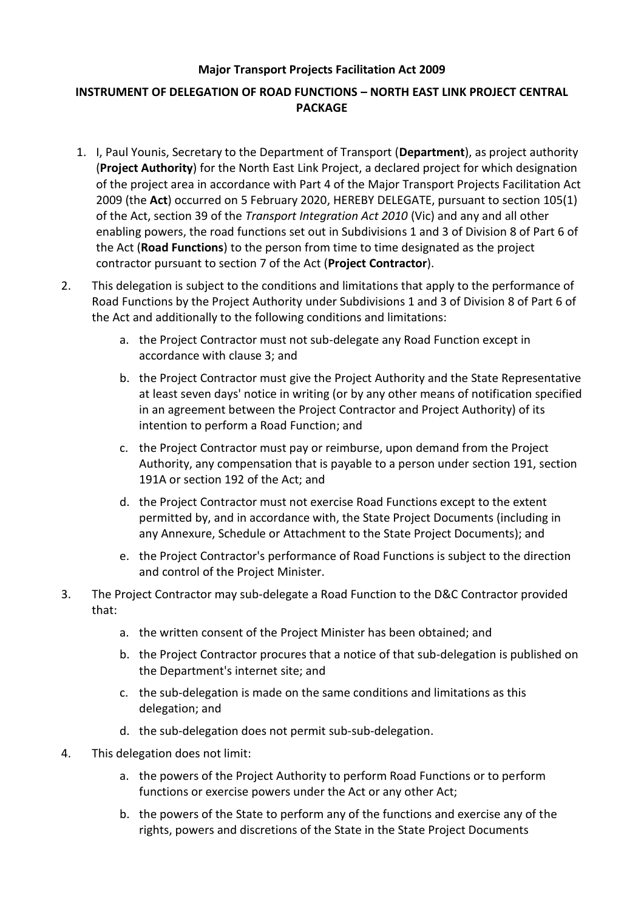## **Major Transport Projects Facilitation Act 2009**

## **INSTRUMENT OF DELEGATION OF ROAD FUNCTIONS – NORTH EAST LINK PROJECT CENTRAL PACKAGE**

- 1. I, Paul Younis, Secretary to the Department of Transport (**Department**), as project authority (**Project Authority**) for the North East Link Project, a declared project for which designation of the project area in accordance with Part 4 of the Major Transport Projects Facilitation Act 2009 (the **Act**) occurred on 5 February 2020, HEREBY DELEGATE, pursuant to section 105(1) of the Act, section 39 of the *Transport Integration Act 2010* (Vic) and any and all other enabling powers, the road functions set out in Subdivisions 1 and 3 of Division 8 of Part 6 of the Act (**Road Functions**) to the person from time to time designated as the project contractor pursuant to section 7 of the Act (**Project Contractor**).
- 2. This delegation is subject to the conditions and limitations that apply to the performance of Road Functions by the Project Authority under Subdivisions 1 and 3 of Division 8 of Part 6 of the Act and additionally to the following conditions and limitations:
	- a. the Project Contractor must not sub-delegate any Road Function except in accordance with clause 3; and
	- b. the Project Contractor must give the Project Authority and the State Representative at least seven days' notice in writing (or by any other means of notification specified in an agreement between the Project Contractor and Project Authority) of its intention to perform a Road Function; and
	- c. the Project Contractor must pay or reimburse, upon demand from the Project Authority, any compensation that is payable to a person under section 191, section 191A or section 192 of the Act; and
	- d. the Project Contractor must not exercise Road Functions except to the extent permitted by, and in accordance with, the State Project Documents (including in any Annexure, Schedule or Attachment to the State Project Documents); and
	- e. the Project Contractor's performance of Road Functions is subject to the direction and control of the Project Minister.
- 3. The Project Contractor may sub-delegate a Road Function to the D&C Contractor provided that:
	- a. the written consent of the Project Minister has been obtained; and
	- b. the Project Contractor procures that a notice of that sub-delegation is published on the Department's internet site; and
	- c. the sub-delegation is made on the same conditions and limitations as this delegation; and
	- d. the sub-delegation does not permit sub-sub-delegation.
- 4. This delegation does not limit:
	- a. the powers of the Project Authority to perform Road Functions or to perform functions or exercise powers under the Act or any other Act;
	- b. the powers of the State to perform any of the functions and exercise any of the rights, powers and discretions of the State in the State Project Documents